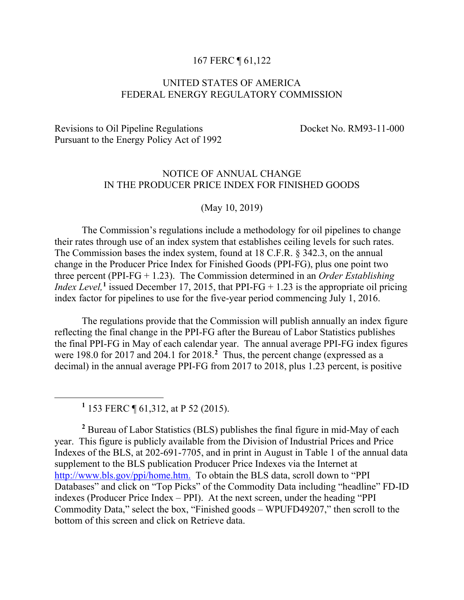#### 167 FERC ¶ 61,122

# UNITED STATES OF AMERICA FEDERAL ENERGY REGULATORY COMMISSION

# Revisions to Oil Pipeline Regulations Docket No. RM93-11-000 Pursuant to the Energy Policy Act of 1992

# NOTICE OF ANNUAL CHANGE IN THE PRODUCER PRICE INDEX FOR FINISHED GOODS

(May 10, 2019)

The Commission's regulations include a methodology for oil pipelines to change their rates through use of an index system that establishes ceiling levels for such rates. The Commission bases the index system, found at 18 C.F.R. § 342.3, on the annual change in the Producer Price Index for Finished Goods (PPI-FG), plus one point two three percent (PPI-FG + 1.23). The Commission determined in an *Order Establishing Index Level*,<sup>[1](#page-0-0)</sup> issued December 17, 2015, that PPI-FG  $+$  1.23 is the appropriate oil pricing index factor for pipelines to use for the five-year period commencing July 1, 2016.

The regulations provide that the Commission will publish annually an index figure reflecting the final change in the PPI-FG after the Bureau of Labor Statistics publishes the final PPI-FG in May of each calendar year. The annual average PPI-FG index figures were 198.0 for 2017 and 204.1 for 2018. **[2](#page-0-1)** Thus, the percent change (expressed as a decimal) in the annual average PPI-FG from 2017 to 2018, plus 1.23 percent, is positive

**<sup>1</sup>** 153 FERC ¶ 61,312, at P 52 (2015).

<span id="page-0-0"></span> $\overline{a}$ 

<span id="page-0-1"></span>**<sup>2</sup>** Bureau of Labor Statistics (BLS) publishes the final figure in mid-May of each year. This figure is publicly available from the Division of Industrial Prices and Price Indexes of the BLS, at 202-691-7705, and in print in August in Table 1 of the annual data supplement to the BLS publication Producer Price Indexes via the Internet at [http://www.bls.gov/ppi/home.htm.](http://www.bls.gov/ppi/home.htm) To obtain the BLS data, scroll down to "PPI Databases" and click on "Top Picks" of the Commodity Data including "headline" FD-ID indexes (Producer Price Index – PPI). At the next screen, under the heading "PPI Commodity Data," select the box, "Finished goods – WPUFD49207," then scroll to the bottom of this screen and click on Retrieve data.